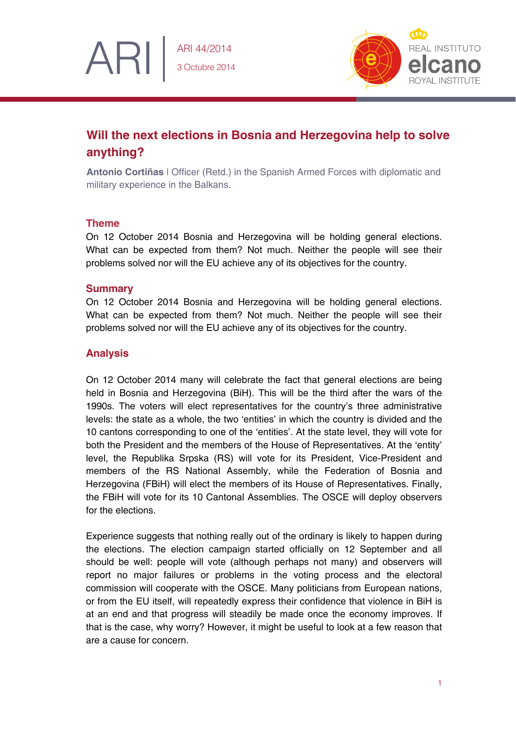

# **Will the next elections in Bosnia and Herzegovina help to solve anything?**

**Antonio Cortiñas** | Officer (Retd.) in the Spanish Armed Forces with diplomatic and military experience in the Balkans.

## **Theme**

ARI

On 12 October 2014 Bosnia and Herzegovina will be holding general elections. What can be expected from them? Not much. Neither the people will see their problems solved nor will the EU achieve any of its objectives for the country.

### **Summary**

On 12 October 2014 Bosnia and Herzegovina will be holding general elections. What can be expected from them? Not much. Neither the people will see their problems solved nor will the EU achieve any of its objectives for the country.

## **Analysis**

On 12 October 2014 many will celebrate the fact that general elections are being held in Bosnia and Herzegovina (BiH). This will be the third after the wars of the 1990s. The voters will elect representatives for the country's three administrative levels: the state as a whole, the two 'entities' in which the country is divided and the 10 cantons corresponding to one of the 'entities'. At the state level, they will vote for both the President and the members of the House of Representatives. At the 'entity' level, the Republika Srpska (RS) will vote for its President, Vice-President and members of the RS National Assembly, while the Federation of Bosnia and Herzegovina (FBiH) will elect the members of its House of Representatives. Finally, the FBiH will vote for its 10 Cantonal Assemblies. The OSCE will deploy observers for the elections.

Experience suggests that nothing really out of the ordinary is likely to happen during the elections. The election campaign started officially on 12 September and all should be well: people will vote (although perhaps not many) and observers will report no major failures or problems in the voting process and the electoral commission will cooperate with the OSCE. Many politicians from European nations, or from the EU itself, will repeatedly express their confidence that violence in BiH is at an end and that progress will steadily be made once the economy improves. If that is the case, why worry? However, it might be useful to look at a few reason that are a cause for concern.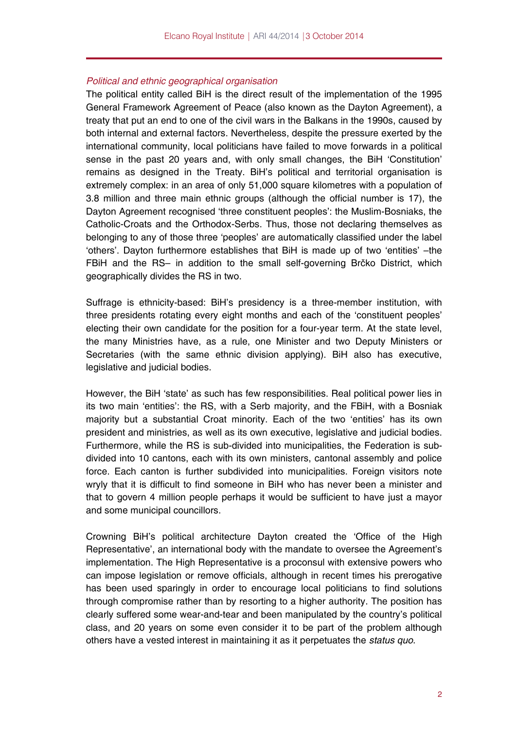#### *Political and ethnic geographical organisation*

The political entity called BiH is the direct result of the implementation of the 1995 General Framework Agreement of Peace (also known as the Dayton Agreement), a treaty that put an end to one of the civil wars in the Balkans in the 1990s, caused by both internal and external factors. Nevertheless, despite the pressure exerted by the international community, local politicians have failed to move forwards in a political sense in the past 20 years and, with only small changes, the BiH 'Constitution' remains as designed in the Treaty. BiH's political and territorial organisation is extremely complex: in an area of only 51,000 square kilometres with a population of 3.8 million and three main ethnic groups (although the official number is 17), the Dayton Agreement recognised 'three constituent peoples': the Muslim-Bosniaks, the Catholic-Croats and the Orthodox-Serbs. Thus, those not declaring themselves as belonging to any of those three 'peoples' are automatically classified under the label 'others'. Dayton furthermore establishes that BiH is made up of two 'entities' –the FBiH and the RS– in addition to the small self-governing Brčko District, which geographically divides the RS in two.

Suffrage is ethnicity-based: BiH's presidency is a three-member institution, with three presidents rotating every eight months and each of the 'constituent peoples' electing their own candidate for the position for a four-year term. At the state level, the many Ministries have, as a rule, one Minister and two Deputy Ministers or Secretaries (with the same ethnic division applying). BiH also has executive, legislative and judicial bodies.

However, the BiH 'state' as such has few responsibilities. Real political power lies in its two main 'entities': the RS, with a Serb majority, and the FBiH, with a Bosniak majority but a substantial Croat minority. Each of the two 'entities' has its own president and ministries, as well as its own executive, legislative and judicial bodies. Furthermore, while the RS is sub-divided into municipalities, the Federation is subdivided into 10 cantons, each with its own ministers, cantonal assembly and police force. Each canton is further subdivided into municipalities. Foreign visitors note wryly that it is difficult to find someone in BiH who has never been a minister and that to govern 4 million people perhaps it would be sufficient to have just a mayor and some municipal councillors.

Crowning BiH's political architecture Dayton created the 'Office of the High Representative', an international body with the mandate to oversee the Agreement's implementation. The High Representative is a proconsul with extensive powers who can impose legislation or remove officials, although in recent times his prerogative has been used sparingly in order to encourage local politicians to find solutions through compromise rather than by resorting to a higher authority. The position has clearly suffered some wear-and-tear and been manipulated by the country's political class, and 20 years on some even consider it to be part of the problem although others have a vested interest in maintaining it as it perpetuates the *status quo*.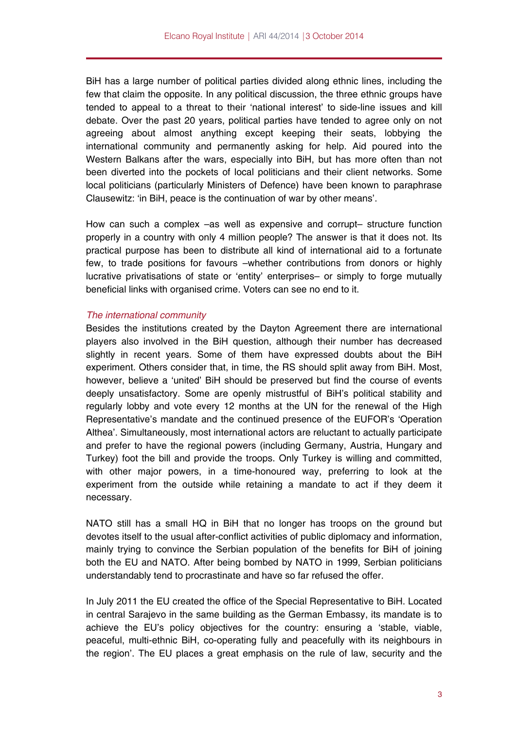BiH has a large number of political parties divided along ethnic lines, including the few that claim the opposite. In any political discussion, the three ethnic groups have tended to appeal to a threat to their 'national interest' to side-line issues and kill debate. Over the past 20 years, political parties have tended to agree only on not agreeing about almost anything except keeping their seats, lobbying the international community and permanently asking for help. Aid poured into the Western Balkans after the wars, especially into BiH, but has more often than not been diverted into the pockets of local politicians and their client networks. Some local politicians (particularly Ministers of Defence) have been known to paraphrase Clausewitz: 'in BiH, peace is the continuation of war by other means'.

How can such a complex –as well as expensive and corrupt– structure function properly in a country with only 4 million people? The answer is that it does not. Its practical purpose has been to distribute all kind of international aid to a fortunate few, to trade positions for favours –whether contributions from donors or highly lucrative privatisations of state or 'entity' enterprises– or simply to forge mutually beneficial links with organised crime. Voters can see no end to it.

#### *The international community*

Besides the institutions created by the Dayton Agreement there are international players also involved in the BiH question, although their number has decreased slightly in recent years. Some of them have expressed doubts about the BiH experiment. Others consider that, in time, the RS should split away from BiH. Most, however, believe a 'united' BiH should be preserved but find the course of events deeply unsatisfactory. Some are openly mistrustful of BiH's political stability and regularly lobby and vote every 12 months at the UN for the renewal of the High Representative's mandate and the continued presence of the EUFOR's 'Operation Althea'. Simultaneously, most international actors are reluctant to actually participate and prefer to have the regional powers (including Germany, Austria, Hungary and Turkey) foot the bill and provide the troops. Only Turkey is willing and committed, with other major powers, in a time-honoured way, preferring to look at the experiment from the outside while retaining a mandate to act if they deem it necessary.

NATO still has a small HQ in BiH that no longer has troops on the ground but devotes itself to the usual after-conflict activities of public diplomacy and information, mainly trying to convince the Serbian population of the benefits for BiH of joining both the EU and NATO. After being bombed by NATO in 1999, Serbian politicians understandably tend to procrastinate and have so far refused the offer.

In July 2011 the EU created the office of the Special Representative to BiH. Located in central Sarajevo in the same building as the German Embassy, its mandate is to achieve the EU's policy objectives for the country: ensuring a 'stable, viable, peaceful, multi-ethnic BiH, co-operating fully and peacefully with its neighbours in the region'. The EU places a great emphasis on the rule of law, security and the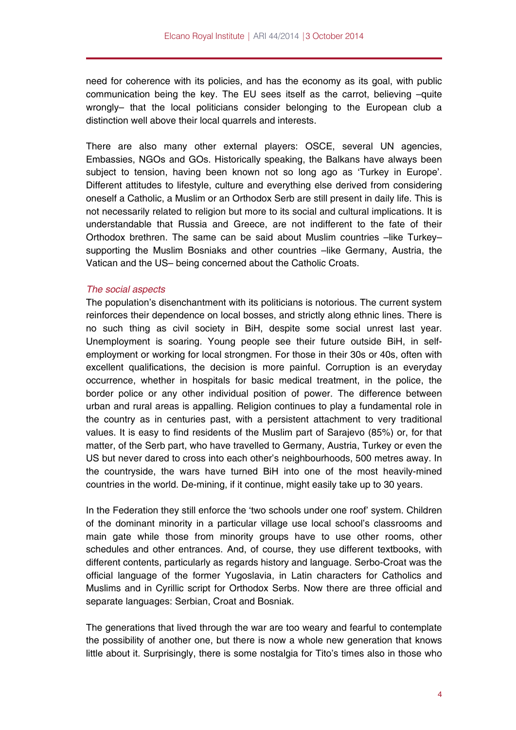need for coherence with its policies, and has the economy as its goal, with public communication being the key. The EU sees itself as the carrot, believing –quite wrongly– that the local politicians consider belonging to the European club a distinction well above their local quarrels and interests.

There are also many other external players: OSCE, several UN agencies, Embassies, NGOs and GOs. Historically speaking, the Balkans have always been subject to tension, having been known not so long ago as 'Turkey in Europe'. Different attitudes to lifestyle, culture and everything else derived from considering oneself a Catholic, a Muslim or an Orthodox Serb are still present in daily life. This is not necessarily related to religion but more to its social and cultural implications. It is understandable that Russia and Greece, are not indifferent to the fate of their Orthodox brethren. The same can be said about Muslim countries -like Turkeysupporting the Muslim Bosniaks and other countries –like Germany, Austria, the Vatican and the US– being concerned about the Catholic Croats.

#### *The social aspects*

The population's disenchantment with its politicians is notorious. The current system reinforces their dependence on local bosses, and strictly along ethnic lines. There is no such thing as civil society in BiH, despite some social unrest last year. Unemployment is soaring. Young people see their future outside BiH, in selfemployment or working for local strongmen. For those in their 30s or 40s, often with excellent qualifications, the decision is more painful. Corruption is an everyday occurrence, whether in hospitals for basic medical treatment, in the police, the border police or any other individual position of power. The difference between urban and rural areas is appalling. Religion continues to play a fundamental role in the country as in centuries past, with a persistent attachment to very traditional values. It is easy to find residents of the Muslim part of Sarajevo (85%) or, for that matter, of the Serb part, who have travelled to Germany, Austria, Turkey or even the US but never dared to cross into each other's neighbourhoods, 500 metres away. In the countryside, the wars have turned BiH into one of the most heavily-mined countries in the world. De-mining, if it continue, might easily take up to 30 years.

In the Federation they still enforce the 'two schools under one roof' system. Children of the dominant minority in a particular village use local school's classrooms and main gate while those from minority groups have to use other rooms, other schedules and other entrances. And, of course, they use different textbooks, with different contents, particularly as regards history and language. Serbo-Croat was the official language of the former Yugoslavia, in Latin characters for Catholics and Muslims and in Cyrillic script for Orthodox Serbs. Now there are three official and separate languages: Serbian, Croat and Bosniak.

The generations that lived through the war are too weary and fearful to contemplate the possibility of another one, but there is now a whole new generation that knows little about it. Surprisingly, there is some nostalgia for Tito's times also in those who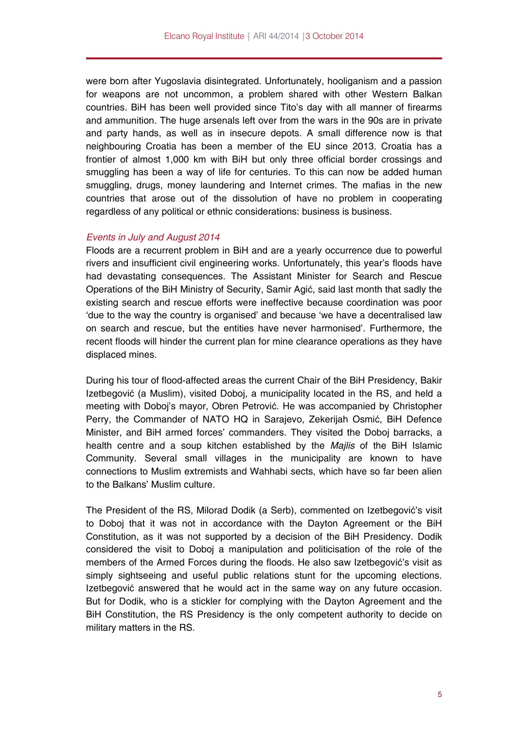were born after Yugoslavia disintegrated. Unfortunately, hooliganism and a passion for weapons are not uncommon, a problem shared with other Western Balkan countries. BiH has been well provided since Tito's day with all manner of firearms and ammunition. The huge arsenals left over from the wars in the 90s are in private and party hands, as well as in insecure depots. A small difference now is that neighbouring Croatia has been a member of the EU since 2013. Croatia has a frontier of almost 1,000 km with BiH but only three official border crossings and smuggling has been a way of life for centuries. To this can now be added human smuggling, drugs, money laundering and Internet crimes. The mafias in the new countries that arose out of the dissolution of have no problem in cooperating regardless of any political or ethnic considerations: business is business.

#### *Events in July and August 2014*

Floods are a recurrent problem in BiH and are a yearly occurrence due to powerful rivers and insufficient civil engineering works. Unfortunately, this year's floods have had devastating consequences. The Assistant Minister for Search and Rescue Operations of the BiH Ministry of Security, Samir Agić, said last month that sadly the existing search and rescue efforts were ineffective because coordination was poor 'due to the way the country is organised' and because 'we have a decentralised law on search and rescue, but the entities have never harmonised'. Furthermore, the recent floods will hinder the current plan for mine clearance operations as they have displaced mines.

During his tour of flood-affected areas the current Chair of the BiH Presidency, Bakir Izetbegović (a Muslim), visited Doboj, a municipality located in the RS, and held a meeting with Doboj's mayor, Obren Petrović. He was accompanied by Christopher Perry, the Commander of NATO HQ in Sarajevo, Zekerijah Osmić, BiH Defence Minister, and BiH armed forces' commanders. They visited the Doboj barracks, a health centre and a soup kitchen established by the *Majlis* of the BiH Islamic Community. Several small villages in the municipality are known to have connections to Muslim extremists and Wahhabi sects, which have so far been alien to the Balkans' Muslim culture.

The President of the RS, Milorad Dodik (a Serb), commented on Izetbegović's visit to Doboj that it was not in accordance with the Dayton Agreement or the BiH Constitution, as it was not supported by a decision of the BiH Presidency. Dodik considered the visit to Doboj a manipulation and politicisation of the role of the members of the Armed Forces during the floods. He also saw Izetbegović's visit as simply sightseeing and useful public relations stunt for the upcoming elections. Izetbegović answered that he would act in the same way on any future occasion. But for Dodik, who is a stickler for complying with the Dayton Agreement and the BiH Constitution, the RS Presidency is the only competent authority to decide on military matters in the RS.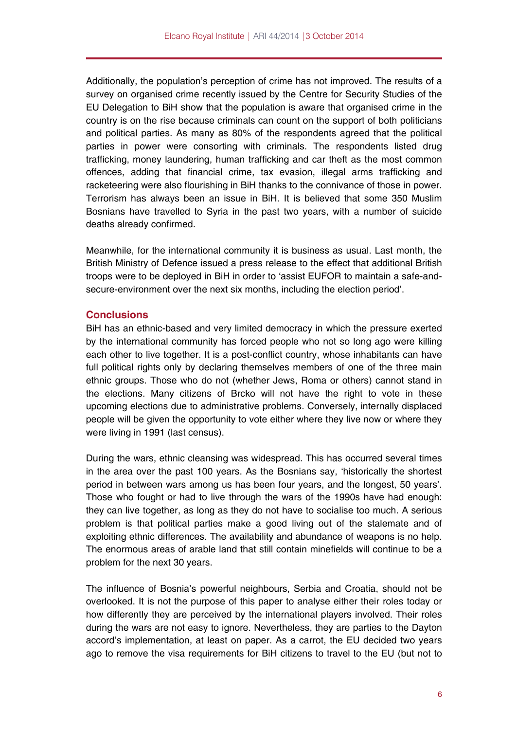Additionally, the population's perception of crime has not improved. The results of a survey on organised crime recently issued by the Centre for Security Studies of the EU Delegation to BiH show that the population is aware that organised crime in the country is on the rise because criminals can count on the support of both politicians and political parties. As many as 80% of the respondents agreed that the political parties in power were consorting with criminals. The respondents listed drug trafficking, money laundering, human trafficking and car theft as the most common offences, adding that financial crime, tax evasion, illegal arms trafficking and racketeering were also flourishing in BiH thanks to the connivance of those in power. Terrorism has always been an issue in BiH. It is believed that some 350 Muslim Bosnians have travelled to Syria in the past two years, with a number of suicide deaths already confirmed.

Meanwhile, for the international community it is business as usual. Last month, the British Ministry of Defence issued a press release to the effect that additional British troops were to be deployed in BiH in order to 'assist EUFOR to maintain a safe-andsecure-environment over the next six months, including the election period'.

#### **Conclusions**

BiH has an ethnic-based and very limited democracy in which the pressure exerted by the international community has forced people who not so long ago were killing each other to live together. It is a post-conflict country, whose inhabitants can have full political rights only by declaring themselves members of one of the three main ethnic groups. Those who do not (whether Jews, Roma or others) cannot stand in the elections. Many citizens of Brcko will not have the right to vote in these upcoming elections due to administrative problems. Conversely, internally displaced people will be given the opportunity to vote either where they live now or where they were living in 1991 (last census).

During the wars, ethnic cleansing was widespread. This has occurred several times in the area over the past 100 years. As the Bosnians say, 'historically the shortest period in between wars among us has been four years, and the longest, 50 years'. Those who fought or had to live through the wars of the 1990s have had enough: they can live together, as long as they do not have to socialise too much. A serious problem is that political parties make a good living out of the stalemate and of exploiting ethnic differences. The availability and abundance of weapons is no help. The enormous areas of arable land that still contain minefields will continue to be a problem for the next 30 years.

The influence of Bosnia's powerful neighbours, Serbia and Croatia, should not be overlooked. It is not the purpose of this paper to analyse either their roles today or how differently they are perceived by the international players involved. Their roles during the wars are not easy to ignore. Nevertheless, they are parties to the Dayton accord's implementation, at least on paper. As a carrot, the EU decided two years ago to remove the visa requirements for BiH citizens to travel to the EU (but not to